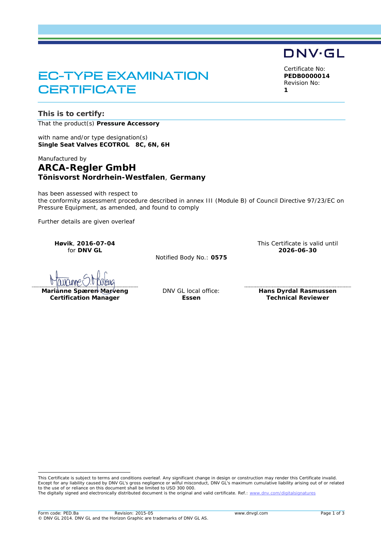## EC-TYPE EXAMINATION **CERTIFICATE**

**This is to certify:**

That the product(s) **Pressure Accessory**

with name and/or type designation(s) **Single Seat Valves ECOTROL 8C, 6N, 6H**

Manufactured by

## **ARCA-Regler GmbH Tönisvorst Nordrhein-Westfalen**, **Germany**

has been assessed with respect to the conformity assessment procedure described in annex III (Module B) of Council Directive 97/23/EC on Pressure Equipment, as amended, and found to comply

Further details are given overleaf

**Høvik**, **2016-07-04** for **DNV GL**

Notified Body No.: **0575**

Marianne Spæren Marveng **Certification Manager**

DNV GL local office: **Essen**

**Hans Dyrdal Rasmussen Technical Reviewer**

This Certificate is valid until **2026-06-30**

This Certificate is subject to terms and conditions overleaf. Any significant change in design or construction may render this Certificate invalid. Except for any liability caused by DNV GL's gross negligence or wilful misconduct, DNV GL's maximum cumulative liability arising out of or related to the use of or reliance on this document shall be limited to USD 300 000.

The digitally signed and electronically distributed document is the original and valid certificate. Ref.[: www.dnv.com/digitalsignatures](http://www.dnv.com/digitalsignatures) 

# DNV·GL

Certificate No: **PEDB0000014** Revision No: **1**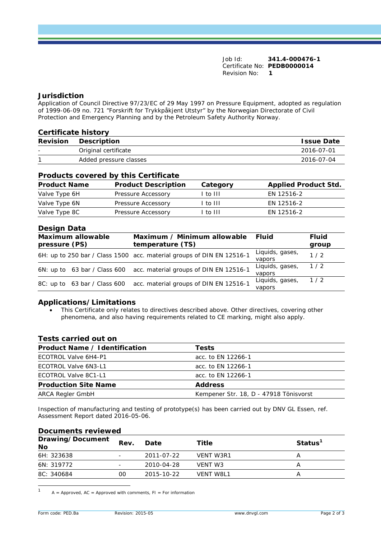Job Id: **341.4-000476-1** Certificate No: **PEDB0000014** Revision No: **1**

#### **Jurisdiction**

Application of Council Directive 97/23/EC of 29 May 1997 on Pressure Equipment, adopted as regulation of 1999-06-09 no. 721 "Forskrift for Trykkpåkjent Utstyr" by the Norwegian Directorate of Civil Protection and Emergency Planning and by the Petroleum Safety Authority Norway.

| <b>Certificate history</b> |                        |                   |  |
|----------------------------|------------------------|-------------------|--|
| <b>Revision</b>            | Description            | <b>Issue Date</b> |  |
|                            | Original certificate   | 2016-07-01        |  |
|                            | Added pressure classes | 2016-07-04        |  |
|                            |                        |                   |  |

#### **Products covered by this Certificate**

| <b>Product Name</b> | <b>Product Description</b> | Category | <b>Applied Product Std.</b> |
|---------------------|----------------------------|----------|-----------------------------|
| Valve Type 6H       | Pressure Accessory         | l to III | EN 12516-2                  |
| Valve Type 6N       | Pressure Accessory         | l to III | EN 12516-2                  |
| Valve Type 8C       | Pressure Accessory         | l to III | EN 12516-2                  |

### **Design Data**

| Maximum allowable<br>pressure (PS) |  | Maximum / Minimum allowable Fluid<br>temperature (TS)                 |                               | <b>Fluid</b><br>group |
|------------------------------------|--|-----------------------------------------------------------------------|-------------------------------|-----------------------|
|                                    |  | 6H: up to 250 bar / Class 1500 acc. material groups of DIN EN 12516-1 | Liquids, gases,<br>vapors     | 1/2                   |
|                                    |  | 6N: up to 63 bar / Class 600 acc. material groups of DIN EN 12516-1   | Liquids, gases, 1/2<br>vapors |                       |
|                                    |  | 8C: up to 63 bar / Class 600 acc. material groups of DIN EN 12516-1   | Liquids, gases, 1/2<br>vapors |                       |

#### **Applications/Limitations**

• This Certificate only relates to directives described above. Other directives, covering other phenomena, and also having requirements related to CE marking, might also apply.

#### **Tests carried out on**

| Product Name / Identification | <b>Tests</b>                           |
|-------------------------------|----------------------------------------|
| ECOTROL Valve 6H4-P1          | acc. to EN 12266-1                     |
| ECOTROL Valve 6N3-L1          | acc. to EN 12266-1                     |
| ECOTROL Valve 8C1-L1          | acc. to EN 12266-1                     |
| <b>Production Site Name</b>   | <b>Address</b>                         |
| ARCA Regler GmbH              | Kempener Str. 18, D - 47918 Tönisvorst |
|                               |                                        |

Inspection of manufacturing and testing of prototype(s) has been carried out by DNV GL Essen, ref. Assessment Report dated 2016-05-06.

| <b>Documents reviewed</b> |      |            |                  |                     |  |
|---------------------------|------|------------|------------------|---------------------|--|
| Drawing/Document<br>No    | Rev. | Date       | Title            | Status <sup>1</sup> |  |
| 6H: 323638                |      | 2011-07-22 | VENT W3R1        | А                   |  |
| 6N: 319772                | -    | 2010-04-28 | VENT W3          |                     |  |
| 8C: 340684                | 00   | 2015-10-22 | <b>VENT W8L1</b> | А                   |  |

#### **Documents reviewed**

 $A =$  Approved, AC = Approved with comments, FI = For information  $\overline{1}$